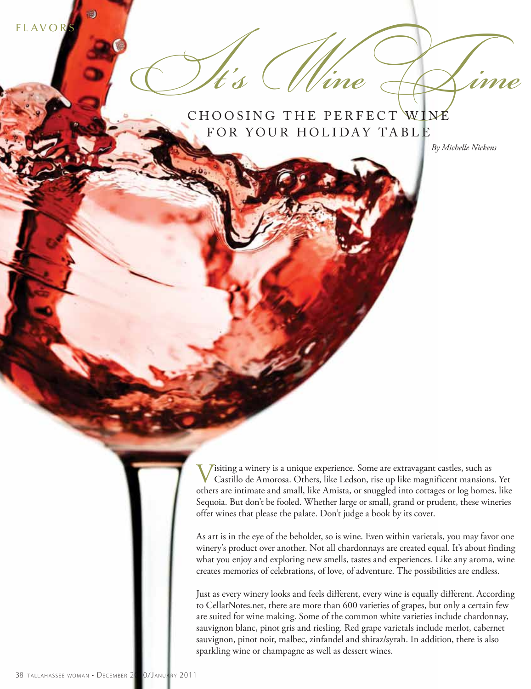**FLAVORS** 

 $1$ t's  $\bigcup$  l'ine  $\bigoplus$ FOR YOUR HOLIDAY TABLE

*By Michelle Nickens*

Visiting a winery is a unique experience. Some are extravagant castles, such as Castillo de Amorosa. Others, like Ledson, rise up like magnificent mansions. Yet others are intimate and small, like Amista, or snuggled into cottages or log homes, like Sequoia. But don't be fooled. Whether large or small, grand or prudent, these wineries offer wines that please the palate. Don't judge a book by its cover.

As art is in the eye of the beholder, so is wine. Even within varietals, you may favor one winery's product over another. Not all chardonnays are created equal. It's about finding what you enjoy and exploring new smells, tastes and experiences. Like any aroma, wine creates memories of celebrations, of love, of adventure. The possibilities are endless.

Just as every winery looks and feels different, every wine is equally different. According to CellarNotes.net, there are more than 600 varieties of grapes, but only a certain few are suited for wine making. Some of the common white varieties include chardonnay, sauvignon blanc, pinot gris and riesling. Red grape varietals include merlot, cabernet sauvignon, pinot noir, malbec, zinfandel and shiraz/syrah. In addition, there is also sparkling wine or champagne as well as dessert wines.